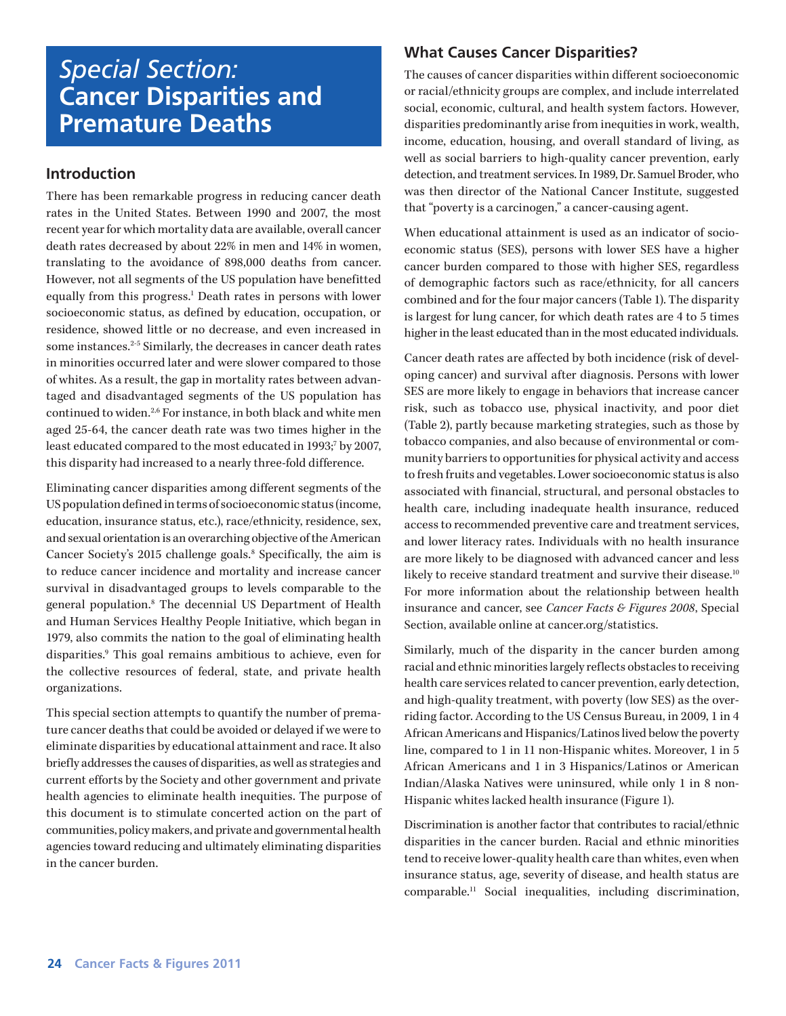# *Special Section:*  **Cancer Disparities and Premature Deaths**

## **Introduction**

There has been remarkable progress in reducing cancer death rates in the United States. Between 1990 and 2007, the most recent year for which mortality data are available, overall cancer death rates decreased by about 22% in men and 14% in women, translating to the avoidance of 898,000 deaths from cancer. However, not all segments of the US population have benefitted equally from this progress.<sup>1</sup> Death rates in persons with lower socioeconomic status, as defined by education, occupation, or residence, showed little or no decrease, and even increased in some instances.<sup>2-5</sup> Similarly, the decreases in cancer death rates in minorities occurred later and were slower compared to those of whites. As a result, the gap in mortality rates between advantaged and disadvantaged segments of the US population has continued to widen.2,6 For instance, in both black and white men aged 25-64, the cancer death rate was two times higher in the least educated compared to the most educated in 1993;<sup>7</sup> by 2007, this disparity had increased to a nearly three-fold difference.

Eliminating cancer disparities among different segments of the US population defined in terms of socioeconomic status (income, education, insurance status, etc.), race/ethnicity, residence, sex, and sexual orientation is an overarching objective of the American Cancer Society's 2015 challenge goals.<sup>8</sup> Specifically, the aim is to reduce cancer incidence and mortality and increase cancer survival in disadvantaged groups to levels comparable to the general population.8 The decennial US Department of Health and Human Services Healthy People Initiative, which began in 1979, also commits the nation to the goal of eliminating health disparities.<sup>9</sup> This goal remains ambitious to achieve, even for the collective resources of federal, state, and private health organizations.

This special section attempts to quantify the number of premature cancer deaths that could be avoided or delayed if we were to eliminate disparities by educational attainment and race. It also briefly addresses the causes of disparities, as well as strategies and current efforts by the Society and other government and private health agencies to eliminate health inequities. The purpose of this document is to stimulate concerted action on the part of communities, policy makers, and private and governmental health agencies toward reducing and ultimately eliminating disparities in the cancer burden.

# **What Causes Cancer Disparities?**

The causes of cancer disparities within different socioeconomic or racial/ethnicity groups are complex, and include interrelated social, economic, cultural, and health system factors. However, disparities predominantly arise from inequities in work, wealth, income, education, housing, and overall standard of living, as well as social barriers to high-quality cancer prevention, early detection, and treatment services. In 1989, Dr. Samuel Broder, who was then director of the National Cancer Institute, suggested that "poverty is a carcinogen," a cancer-causing agent.

When educational attainment is used as an indicator of socioeconomic status (SES), persons with lower SES have a higher cancer burden compared to those with higher SES, regardless of demographic factors such as race/ethnicity, for all cancers combined and for the four major cancers (Table 1). The disparity is largest for lung cancer, for which death rates are 4 to 5 times higher in the least educated than in the most educated individuals.

Cancer death rates are affected by both incidence (risk of developing cancer) and survival after diagnosis. Persons with lower SES are more likely to engage in behaviors that increase cancer risk, such as tobacco use, physical inactivity, and poor diet (Table 2), partly because marketing strategies, such as those by tobacco companies, and also because of environmental or community barriers to opportunities for physical activity and access to fresh fruits and vegetables. Lower socioeconomic status is also associated with financial, structural, and personal obstacles to health care, including inadequate health insurance, reduced access to recommended preventive care and treatment services, and lower literacy rates. Individuals with no health insurance are more likely to be diagnosed with advanced cancer and less likely to receive standard treatment and survive their disease.<sup>10</sup> For more information about the relationship between health insurance and cancer, see *Cancer Facts & Figures 2008*, Special Section, available online at cancer.org/statistics.

Similarly, much of the disparity in the cancer burden among racial and ethnic minorities largely reflects obstacles to receiving health care services related to cancer prevention, early detection, and high-quality treatment, with poverty (low SES) as the overriding factor. According to the US Census Bureau, in 2009, 1 in 4 African Americans and Hispanics/Latinos lived below the poverty line, compared to 1 in 11 non-Hispanic whites. Moreover, 1 in 5 African Americans and 1 in 3 Hispanics/Latinos or American Indian/Alaska Natives were uninsured, while only 1 in 8 non-Hispanic whites lacked health insurance (Figure 1).

Discrimination is another factor that contributes to racial/ethnic disparities in the cancer burden. Racial and ethnic minorities tend to receive lower-quality health care than whites, even when insurance status, age, severity of disease, and health status are comparable.11 Social inequalities, including discrimination,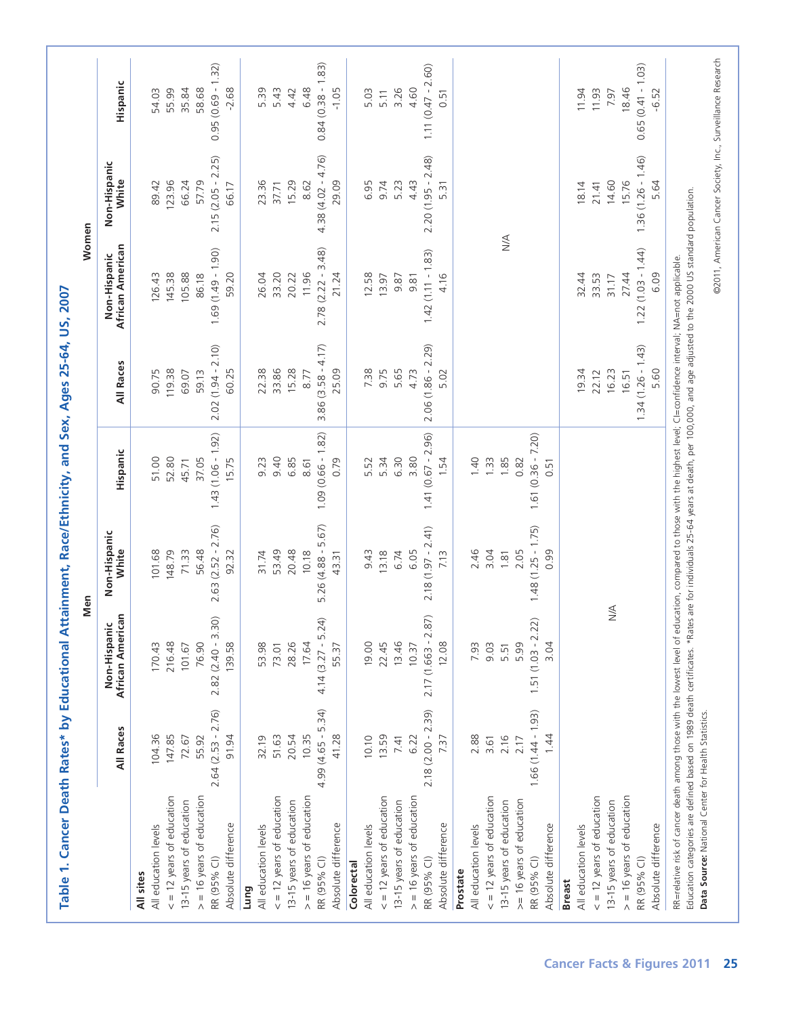|                                    | All Races           | African American<br>Non-Hispanic | Non-Hispanic<br>White | Hispanic            | All Races               | African American<br>Non-Hispanic | Non-Hispanic<br>White | Hispanic            |
|------------------------------------|---------------------|----------------------------------|-----------------------|---------------------|-------------------------|----------------------------------|-----------------------|---------------------|
| All sites                          |                     |                                  |                       |                     |                         |                                  |                       |                     |
| All education levels               | 104.36              | 170.43                           | 101.68                | 51.00               | 90.75                   | 126.43                           | 89.42                 | 54.03               |
| $\epsilon$ = 12 years of education | 147.85              | 216.48                           | 148.79                | 52.80               | 119.38                  | 145.38                           | 123.96                | 55.99               |
| 13-15 years of education           | 72.67               | 101.67                           | 71.33                 | 45.71               | 69.07                   | 105.88                           | 66.24                 | 35.84               |
| $>$ = 16 years of education        | 55.92               | 76.90                            | 56.48                 | 37.05               | 59.13                   | 86.18                            | 57.79                 | 58.68               |
| RR (95% CI)                        | $2.64(2.53 - 2.76)$ | $2.82(2.40 - 3.30)$              | $2.63(2.52 - 2.76)$   | $1.43(1.06 - 1.92)$ | $2.02(1.94 - 2.10)$     | $(0.69(1.49 - 1.90))$            | $2.15(2.05 - 2.25)$   | $0.95(0.69 - 1.32)$ |
| Absolute difference                | 91.94               | 139.58                           | 92.32                 | 15.75               | 60.25                   | 59.20                            | 66.17                 | $-2.68$             |
| Lung                               |                     |                                  |                       |                     |                         |                                  |                       |                     |
| All education levels               | 32.19               | 53.98                            | 31.74                 | 9.23                | 22.38                   | 26.04                            | 23.36                 | 5.39                |
| $\epsilon$ = 12 years of education | 51.63               | 73.01                            | 53.49                 | 9.40                | 33.86                   | 33.20                            | 37.71                 | 5.43                |
| 13-15 years of education           | 20.54               | 28.26                            | 20.48                 | 6.85                | 15.28                   | 20.22                            | 15.29                 | 4.42                |
| $>$ = 16 years of education        | 10.35               | 17.64                            | 10.18                 | 8.61                | 8.77                    | 11.96                            | 8.62                  | 6.48                |
| RR (95% CI)                        | $4.99(4.65 - 5.34)$ | $4.14(3.27 - 5.24)$              | $5.26(4.88 - 5.67)$   | $1.09(0.66 - 1.82)$ | $(3.58 - 4.17)$<br>3.86 | $2.78(2.22 - 3.48)$              | $4.38(4.02 - 4.76)$   | $0.84(0.38 - 1.83)$ |
| Absolute difference                | 41.28               | 55.37                            | 43.31                 | 0.79                | 25.09                   | 21.24                            | 29.09                 | $-1.05$             |
| Colorectal                         |                     |                                  |                       |                     |                         |                                  |                       |                     |
| All education levels               | 10.10               | 19.00                            | 9.43                  | 5.52                | 7.38                    | 12.58                            | 6.95                  | 5.03                |
| $\epsilon$ = 12 years of education | 13.59               | 22.45                            | 13.18                 | 5.34                | 9.75                    | 13.97                            | 9.74                  | 5.11                |
| 13-15 years of education           | 7.41                | 13.46                            | 6.74                  | 6.30                | 5.65                    | 9.87                             | 5.23                  | 3.26                |
| $>$ = 16 years of education        | 6.22                | 10.37                            | 6.05                  | 3.80                | 4.73                    | 9.81                             | 4.43                  | 4.60                |
| RR (95% CI)                        | $2.18(2.00 - 2.39)$ | $2.17(1.663 - 2.87)$             | $2.18(1.97 - 2.41)$   | $1.41(0.67 - 2.96)$ | $2.06(1.86 - 2.29)$     | $1.42(1.11 - 1.83)$              | $2.20(1.95 - 2.48)$   | $1.11(0.47 - 2.60)$ |
| Absolute difference                | 7.37                | 12.08                            | 7.13                  | 1.54                | 5.02                    | 4.16                             | 5.31                  | 0.51                |
| Prostate                           |                     |                                  |                       |                     |                         |                                  |                       |                     |
| All education levels               | 2.88                | 7.93                             | 2.46                  | 1.40                |                         |                                  |                       |                     |
| $\epsilon$ = 12 years of education | 3.61                | 9.03                             | 3.04                  | 1.33                |                         |                                  |                       |                     |
| 13-15 years of education           | 2.16                | 5.51                             | 1.81                  | 1.85                |                         | $\leq$                           |                       |                     |
| >= 16 years of education           | 2.17                | 5.99                             | 2.05                  | 0.82                |                         |                                  |                       |                     |
| RR (95% CI)                        | $1.66(1.44 - 1.93)$ | নি<br>$1.51(1.03 - 2.2)$         | $1.48(1.25 - 1.75)$   | $1.61(0.36 - 7.20)$ |                         |                                  |                       |                     |
| Absolute difference                | 1.44                | 3.04                             | 0.99                  | 0.51                |                         |                                  |                       |                     |
| <b>Breast</b>                      |                     |                                  |                       |                     |                         |                                  |                       |                     |
| All education levels               |                     |                                  |                       |                     | 19.34                   | 32.44                            | 18.14                 | 11.94               |
| $\epsilon$ = 12 years of education |                     |                                  |                       |                     | 22.12                   | 33.53                            | 21.41                 | 11.93               |
| 13-15 years of education           |                     | $\leq$                           |                       |                     | 16.23                   | 31.17                            | 14.60                 | 7.97                |
| $>$ = 16 years of education        |                     |                                  |                       |                     | 16.51                   | 27.44                            | 15.76                 | 18.46               |
| RR (95% CI)                        |                     |                                  |                       |                     | $1.34(1.26 - 1.43)$     | $1.22(1.03 - 1.44)$              | $1.36(1.26 - 1.46)$   | $0.65(0.41 - 1.03)$ |
| Absolute difference                |                     |                                  |                       |                     | 5.60                    | 6.09                             | 5.64                  | $-6.52$             |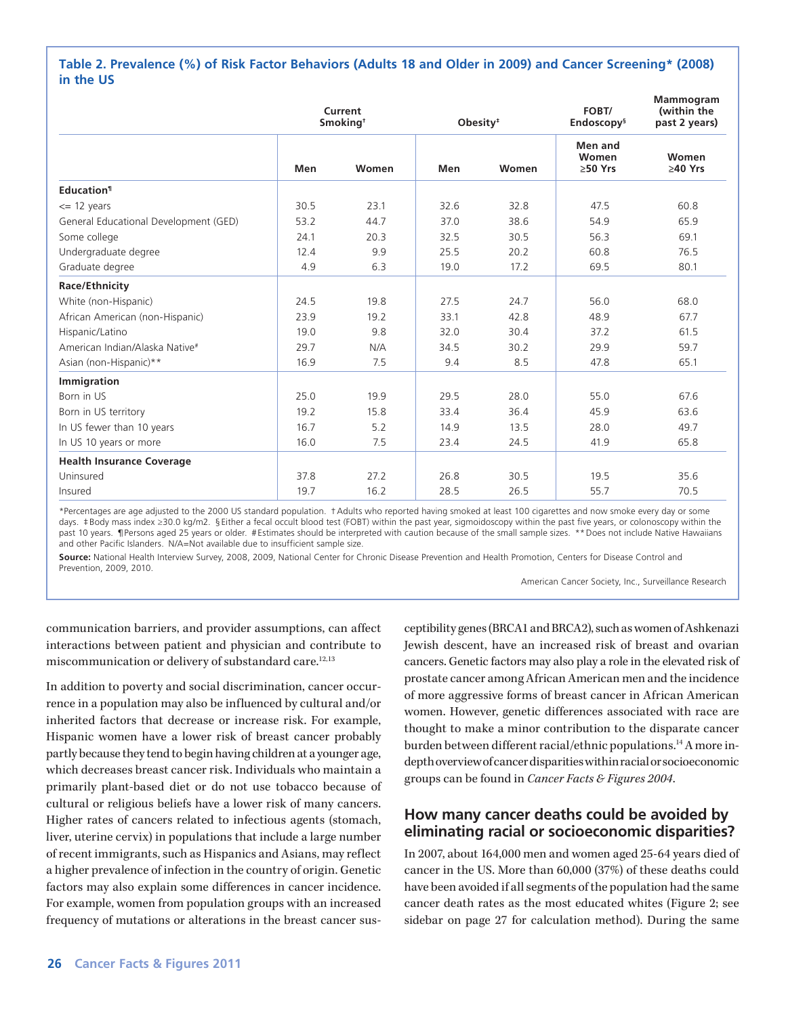#### **Table 2. Prevalence (%) of Risk Factor Behaviors (Adults 18 and Older in 2009) and Cancer Screening\* (2008) in the US**

|                                       |      | Current<br>Smoking <sup>+</sup> | Obesity <sup>#</sup> |       | FOBT/<br>Endoscopy <sup>§</sup>   | Mammogram<br>(within the<br>past 2 years) |
|---------------------------------------|------|---------------------------------|----------------------|-------|-----------------------------------|-------------------------------------------|
|                                       | Men  | Women                           | Men                  | Women | Men and<br>Women<br>$\geq 50$ Yrs | Women<br>$>40$ Yrs                        |
| <b>Education</b> <sup>1</sup>         |      |                                 |                      |       |                                   |                                           |
| $\leq$ 12 years                       | 30.5 | 23.1                            | 32.6                 | 32.8  | 47.5                              | 60.8                                      |
| General Educational Development (GED) | 53.2 | 44.7                            | 37.0                 | 38.6  | 54.9                              | 65.9                                      |
| Some college                          | 24.1 | 20.3                            | 32.5                 | 30.5  | 56.3                              | 69.1                                      |
| Undergraduate degree                  | 12.4 | 9.9                             | 25.5                 | 20.2  | 60.8                              | 76.5                                      |
| Graduate degree                       | 4.9  | 6.3                             | 19.0                 | 17.2  | 69.5                              | 80.1                                      |
| Race/Ethnicity                        |      |                                 |                      |       |                                   |                                           |
| White (non-Hispanic)                  | 24.5 | 19.8                            | 27.5                 | 24.7  | 56.0                              | 68.0                                      |
| African American (non-Hispanic)       | 23.9 | 19.2                            | 33.1                 | 42.8  | 48.9                              | 67.7                                      |
| Hispanic/Latino                       | 19.0 | 9.8                             | 32.0                 | 30.4  | 37.2                              | 61.5                                      |
| American Indian/Alaska Native#        | 29.7 | N/A                             | 34.5                 | 30.2  | 29.9                              | 59.7                                      |
| Asian (non-Hispanic)**                | 16.9 | 7.5                             | 9.4                  | 8.5   | 47.8                              | 65.1                                      |
| Immigration                           |      |                                 |                      |       |                                   |                                           |
| Born in US                            | 25.0 | 19.9                            | 29.5                 | 28.0  | 55.0                              | 67.6                                      |
| Born in US territory                  | 19.2 | 15.8                            | 33.4                 | 36.4  | 45.9                              | 63.6                                      |
| In US fewer than 10 years             | 16.7 | 5.2                             | 14.9                 | 13.5  | 28.0                              | 49.7                                      |
| In US 10 years or more                | 16.0 | 7.5                             | 23.4                 | 24.5  | 41.9                              | 65.8                                      |
| <b>Health Insurance Coverage</b>      |      |                                 |                      |       |                                   |                                           |
| Uninsured                             | 37.8 | 27.2                            | 26.8                 | 30.5  | 19.5                              | 35.6                                      |
| Insured                               | 19.7 | 16.2                            | 28.5                 | 26.5  | 55.7                              | 70.5                                      |

\*Percentages are age adjusted to the 2000 US standard population. †Adults who reported having smoked at least 100 cigarettes and now smoke every day or some days. ‡Body mass index ≥30.0 kg/m2. §Either a fecal occult blood test (FOBT) within the past year, sigmoidoscopy within the past five years, or colonoscopy within the past 10 years. ¶Persons aged 25 years or older. #Estimates should be interpreted with caution because of the small sample sizes. \*\* Does not include Native Hawaiians and other Pacific Islanders. N/A=Not available due to insufficient sample size.

**Source:** National Health Interview Survey, 2008, 2009, National Center for Chronic Disease Prevention and Health Promotion, Centers for Disease Control and Prevention, 2009, 2010.

American Cancer Society, Inc., Surveillance Research

communication barriers, and provider assumptions, can affect interactions between patient and physician and contribute to miscommunication or delivery of substandard care.<sup>12,13</sup>

In addition to poverty and social discrimination, cancer occurrence in a population may also be influenced by cultural and/or inherited factors that decrease or increase risk. For example, Hispanic women have a lower risk of breast cancer probably partly because they tend to begin having children at a younger age, which decreases breast cancer risk. Individuals who maintain a primarily plant-based diet or do not use tobacco because of cultural or religious beliefs have a lower risk of many cancers. Higher rates of cancers related to infectious agents (stomach, liver, uterine cervix) in populations that include a large number of recent immigrants, such as Hispanics and Asians, may reflect a higher prevalence of infection in the country of origin. Genetic factors may also explain some differences in cancer incidence. For example, women from population groups with an increased frequency of mutations or alterations in the breast cancer susceptibility genes (BRCA1 and BRCA2), such as women of Ashkenazi Jewish descent, have an increased risk of breast and ovarian cancers. Genetic factors may also play a role in the elevated risk of prostate cancer among African American men and the incidence of more aggressive forms of breast cancer in African American women. However, genetic differences associated with race are thought to make a minor contribution to the disparate cancer burden between different racial/ethnic populations.<sup>14</sup> A more indepth overview of cancer disparities within racial or socioeconomic groups can be found in *Cancer Facts & Figures 2004*.

## **How many cancer deaths could be avoided by eliminating racial or socioeconomic disparities?**

In 2007, about 164,000 men and women aged 25-64 years died of cancer in the US. More than 60,000 (37%) of these deaths could have been avoided if all segments of the population had the same cancer death rates as the most educated whites (Figure 2; see sidebar on page 27 for calculation method). During the same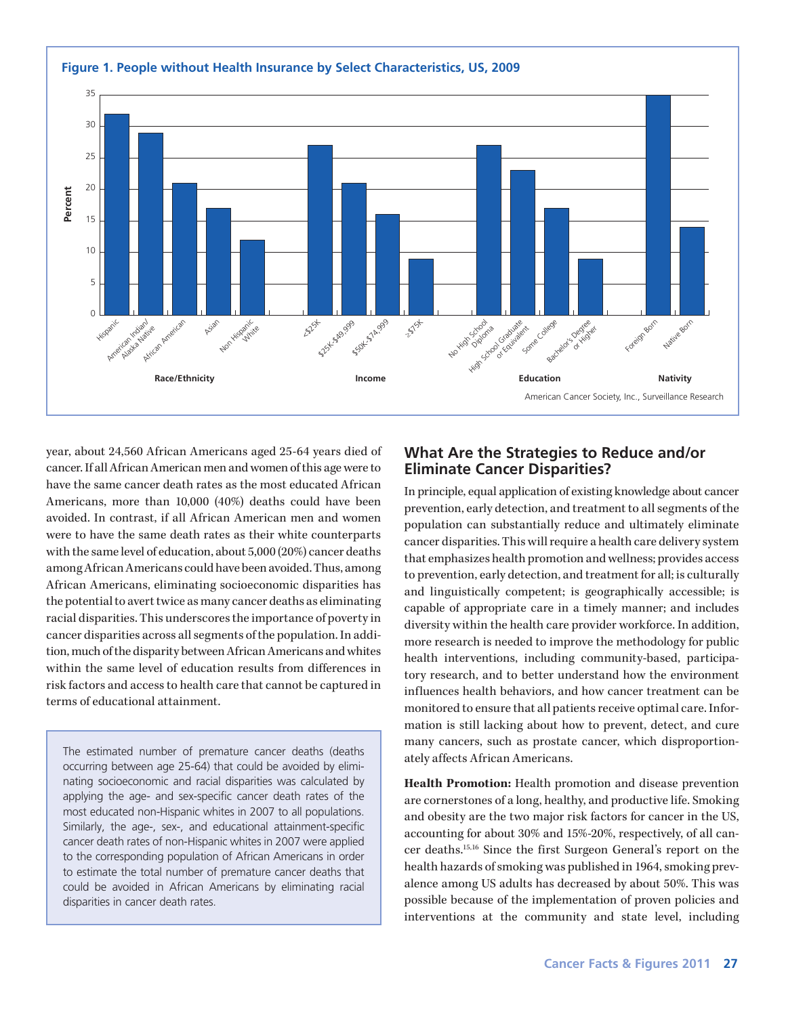

year, about 24,560 African Americans aged 25-64 years died of cancer. If all African American men and women of this age were to have the same cancer death rates as the most educated African Americans, more than 10,000 (40%) deaths could have been avoided. In contrast, if all African American men and women were to have the same death rates as their white counterparts with the same level of education, about 5,000 (20%) cancer deaths among African Americans could have been avoided. Thus, among African Americans, eliminating socioeconomic disparities has the potential to avert twice as many cancer deaths as eliminating racial disparities. This underscores the importance of poverty in cancer disparities across all segments of the population. In addition, much of the disparity between African Americans and whites within the same level of education results from differences in risk factors and access to health care that cannot be captured in terms of educational attainment.

The estimated number of premature cancer deaths (deaths occurring between age 25-64) that could be avoided by eliminating socioeconomic and racial disparities was calculated by applying the age- and sex-specific cancer death rates of the most educated non-Hispanic whites in 2007 to all populations. Similarly, the age-, sex-, and educational attainment-specific cancer death rates of non-Hispanic whites in 2007 were applied to the corresponding population of African Americans in order to estimate the total number of premature cancer deaths that could be avoided in African Americans by eliminating racial disparities in cancer death rates.

#### **What Are the Strategies to Reduce and/or Eliminate Cancer Disparities?**

In principle, equal application of existing knowledge about cancer prevention, early detection, and treatment to all segments of the population can substantially reduce and ultimately eliminate cancer disparities. This will require a health care delivery system that emphasizes health promotion and wellness; provides access to prevention, early detection, and treatment for all; is culturally and linguistically competent; is geographically accessible; is capable of appropriate care in a timely manner; and includes diversity within the health care provider workforce. In addition, more research is needed to improve the methodology for public health interventions, including community-based, participatory research, and to better understand how the environment influences health behaviors, and how cancer treatment can be monitored to ensure that all patients receive optimal care. Information is still lacking about how to prevent, detect, and cure many cancers, such as prostate cancer, which disproportionately affects African Americans.

**Health Promotion:** Health promotion and disease prevention are cornerstones of a long, healthy, and productive life. Smoking and obesity are the two major risk factors for cancer in the US, accounting for about 30% and 15%-20%, respectively, of all cancer deaths.15,16 Since the first Surgeon General's report on the health hazards of smoking was published in 1964, smoking prevalence among US adults has decreased by about 50%. This was possible because of the implementation of proven policies and interventions at the community and state level, including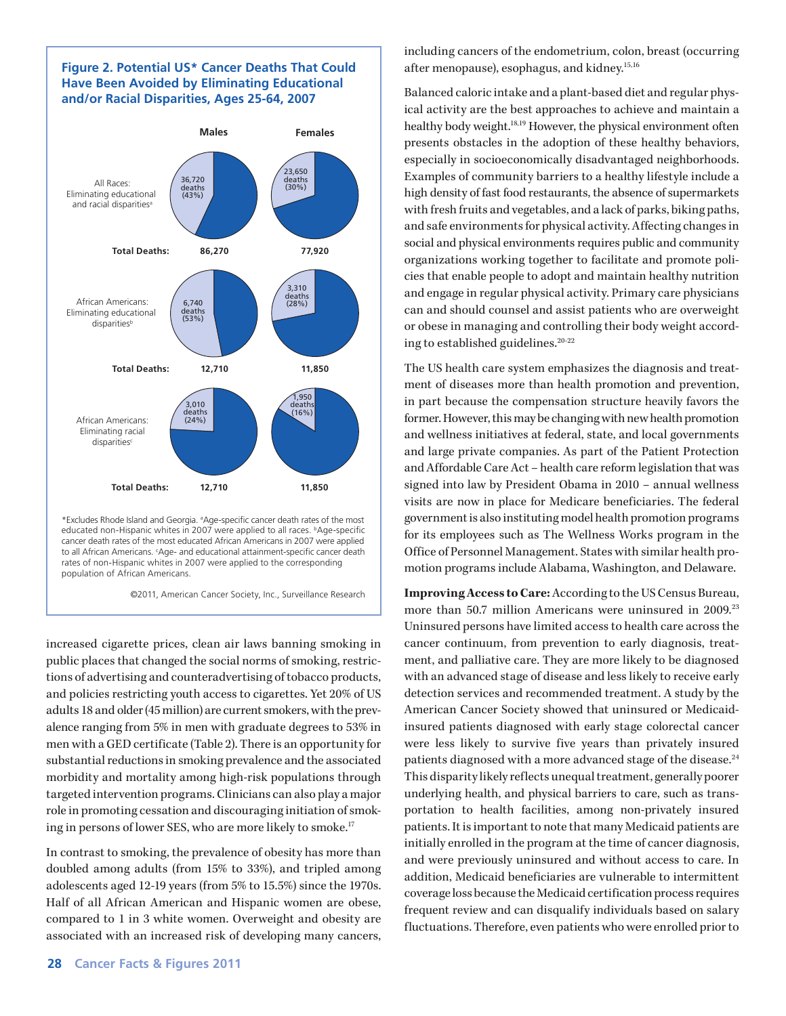#### **Figure 2. Potential US\* Cancer Deaths That Could Have Been Avoided by Eliminating Educational and/or Racial Disparities, Ages 25-64, 2007**



\*Excludes Rhode Island and Georgia. <sup>a</sup> Age-specific cancer death rates of the most educated non-Hispanic whites in 2007 were applied to all races. <sup>b</sup>Age-specific cancer death rates of the most educated African Americans in 2007 were applied to all African Americans. < Age- and educational attainment-specific cancer death rates of non-Hispanic whites in 2007 were applied to the corresponding population of African Americans.

©2011, American Cancer Society, Inc., Surveillance Research

increased cigarette prices, clean air laws banning smoking in public places that changed the social norms of smoking, restrictions of advertising and counteradvertising of tobacco products, and policies restricting youth access to cigarettes. Yet 20% of US adults 18 and older (45 million) are current smokers, with the prevalence ranging from 5% in men with graduate degrees to 53% in men with a GED certificate (Table 2). There is an opportunity for substantial reductions in smoking prevalence and the associated morbidity and mortality among high-risk populations through targeted intervention programs. Clinicians can also play a major role in promoting cessation and discouraging initiation of smoking in persons of lower SES, who are more likely to smoke.<sup>17</sup>

In contrast to smoking, the prevalence of obesity has more than doubled among adults (from 15% to 33%), and tripled among adolescents aged 12-19 years (from 5% to 15.5%) since the 1970s. Half of all African American and Hispanic women are obese, compared to 1 in 3 white women. Overweight and obesity are associated with an increased risk of developing many cancers,

including cancers of the endometrium, colon, breast (occurring after menopause), esophagus, and kidney.15,16

Balanced caloric intake and a plant-based diet and regular physical activity are the best approaches to achieve and maintain a healthy body weight.18,19 However, the physical environment often presents obstacles in the adoption of these healthy behaviors, especially in socioeconomically disadvantaged neighborhoods. Examples of community barriers to a healthy lifestyle include a high density of fast food restaurants, the absence of supermarkets with fresh fruits and vegetables, and a lack of parks, biking paths, and safe environments for physical activity. Affecting changes in social and physical environments requires public and community organizations working together to facilitate and promote policies that enable people to adopt and maintain healthy nutrition and engage in regular physical activity. Primary care physicians can and should counsel and assist patients who are overweight or obese in managing and controlling their body weight according to established guidelines.20-22

The US health care system emphasizes the diagnosis and treatment of diseases more than health promotion and prevention, in part because the compensation structure heavily favors the former. However, this may be changing with new health promotion and wellness initiatives at federal, state, and local governments and large private companies. As part of the Patient Protection and Affordable Care Act – health care reform legislation that was signed into law by President Obama in 2010 – annual wellness visits are now in place for Medicare beneficiaries. The federal government is also instituting model health promotion programs for its employees such as The Wellness Works program in the Office of Personnel Management. States with similar health promotion programs include Alabama, Washington, and Delaware.

**Improving Access to Care:** According to the US Census Bureau, more than 50.7 million Americans were uninsured in 2009.<sup>23</sup> Uninsured persons have limited access to health care across the cancer continuum, from prevention to early diagnosis, treatment, and palliative care. They are more likely to be diagnosed with an advanced stage of disease and less likely to receive early detection services and recommended treatment. A study by the American Cancer Society showed that uninsured or Medicaidinsured patients diagnosed with early stage colorectal cancer were less likely to survive five years than privately insured patients diagnosed with a more advanced stage of the disease.<sup>24</sup> This disparity likely reflects unequal treatment, generally poorer underlying health, and physical barriers to care, such as transportation to health facilities, among non-privately insured patients. It is important to note that many Medicaid patients are initially enrolled in the program at the time of cancer diagnosis, and were previously uninsured and without access to care. In addition, Medicaid beneficiaries are vulnerable to intermittent coverage loss because the Medicaid certification process requires frequent review and can disqualify individuals based on salary fluctuations. Therefore, even patients who were enrolled prior to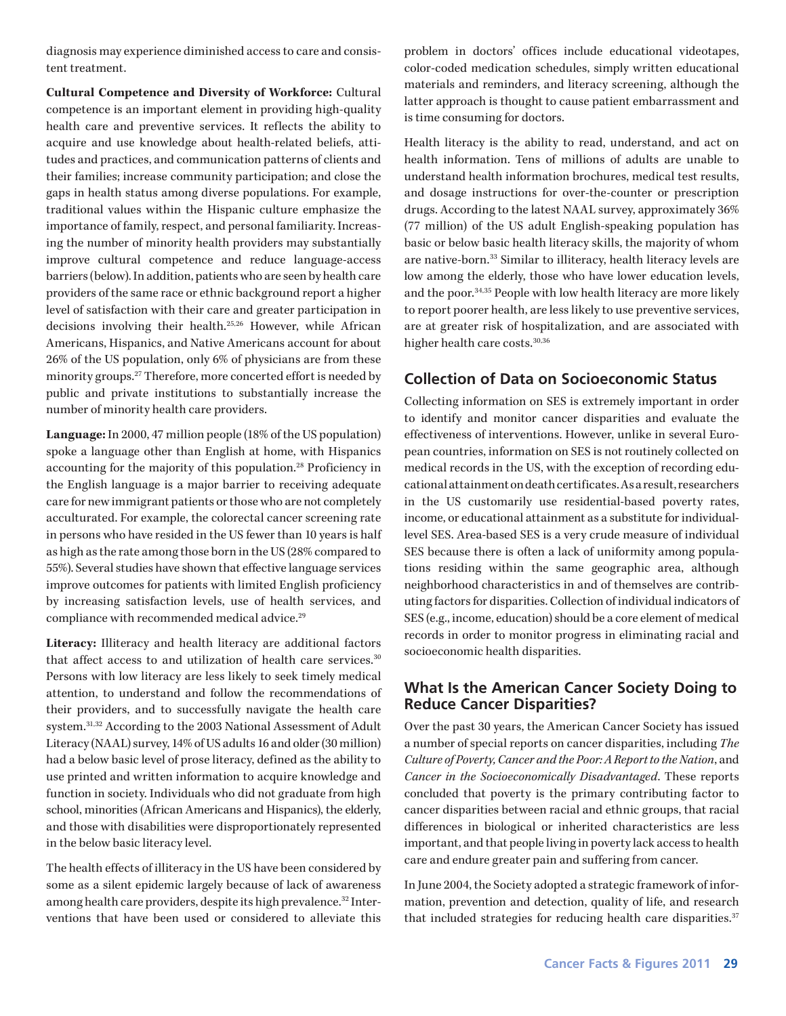diagnosis may experience diminished access to care and consistent treatment.

**Cultural Competence and Diversity of Workforce:** Cultural competence is an important element in providing high-quality health care and preventive services. It reflects the ability to acquire and use knowledge about health-related beliefs, attitudes and practices, and communication patterns of clients and their families; increase community participation; and close the gaps in health status among diverse populations. For example, traditional values within the Hispanic culture emphasize the importance of family, respect, and personal familiarity. Increasing the number of minority health providers may substantially improve cultural competence and reduce language-access barriers (below). In addition, patients who are seen by health care providers of the same race or ethnic background report a higher level of satisfaction with their care and greater participation in decisions involving their health.25,26 However, while African Americans, Hispanics, and Native Americans account for about 26% of the US population, only 6% of physicians are from these minority groups.27 Therefore, more concerted effort is needed by public and private institutions to substantially increase the number of minority health care providers.

**Language:** In 2000, 47 million people (18% of the US population) spoke a language other than English at home, with Hispanics accounting for the majority of this population.28 Proficiency in the English language is a major barrier to receiving adequate care for new immigrant patients or those who are not completely acculturated. For example, the colorectal cancer screening rate in persons who have resided in the US fewer than 10 years is half as high as the rate among those born in the US (28% compared to 55%). Several studies have shown that effective language services improve outcomes for patients with limited English proficiency by increasing satisfaction levels, use of health services, and compliance with recommended medical advice.<sup>29</sup>

**Literacy:** Illiteracy and health literacy are additional factors that affect access to and utilization of health care services.<sup>30</sup> Persons with low literacy are less likely to seek timely medical attention, to understand and follow the recommendations of their providers, and to successfully navigate the health care system.31,32 According to the 2003 National Assessment of Adult Literacy (NAAL) survey, 14% of US adults 16 and older (30 million) had a below basic level of prose literacy, defined as the ability to use printed and written information to acquire knowledge and function in society. Individuals who did not graduate from high school, minorities (African Americans and Hispanics), the elderly, and those with disabilities were disproportionately represented in the below basic literacy level.

The health effects of illiteracy in the US have been considered by some as a silent epidemic largely because of lack of awareness among health care providers, despite its high prevalence.<sup>32</sup> Interventions that have been used or considered to alleviate this

problem in doctors' offices include educational videotapes, color-coded medication schedules, simply written educational materials and reminders, and literacy screening, although the latter approach is thought to cause patient embarrassment and is time consuming for doctors.

Health literacy is the ability to read, understand, and act on health information. Tens of millions of adults are unable to understand health information brochures, medical test results, and dosage instructions for over-the-counter or prescription drugs. According to the latest NAAL survey, approximately 36% (77 million) of the US adult English-speaking population has basic or below basic health literacy skills, the majority of whom are native-born.<sup>33</sup> Similar to illiteracy, health literacy levels are low among the elderly, those who have lower education levels, and the poor.34,35 People with low health literacy are more likely to report poorer health, are less likely to use preventive services, are at greater risk of hospitalization, and are associated with higher health care costs.<sup>30,36</sup>

## **Collection of Data on Socioeconomic Status**

Collecting information on SES is extremely important in order to identify and monitor cancer disparities and evaluate the effectiveness of interventions. However, unlike in several European countries, information on SES is not routinely collected on medical records in the US, with the exception of recording educational attainment on death certificates. As a result, researchers in the US customarily use residential-based poverty rates, income, or educational attainment as a substitute for individuallevel SES. Area-based SES is a very crude measure of individual SES because there is often a lack of uniformity among populations residing within the same geographic area, although neighborhood characteristics in and of themselves are contributing factors for disparities. Collection of individual indicators of SES (e.g., income, education) should be a core element of medical records in order to monitor progress in eliminating racial and socioeconomic health disparities.

## **What Is the American Cancer Society Doing to Reduce Cancer Disparities?**

Over the past 30 years, the American Cancer Society has issued a number of special reports on cancer disparities, including *The Culture of Poverty, Cancer and the Poor: A Report to the Nation*, and *Cancer in the Socioeconomically Disadvantaged*. These reports concluded that poverty is the primary contributing factor to cancer disparities between racial and ethnic groups, that racial differences in biological or inherited characteristics are less important, and that people living in poverty lack access to health care and endure greater pain and suffering from cancer.

In June 2004, the Society adopted a strategic framework of information, prevention and detection, quality of life, and research that included strategies for reducing health care disparities.<sup>37</sup>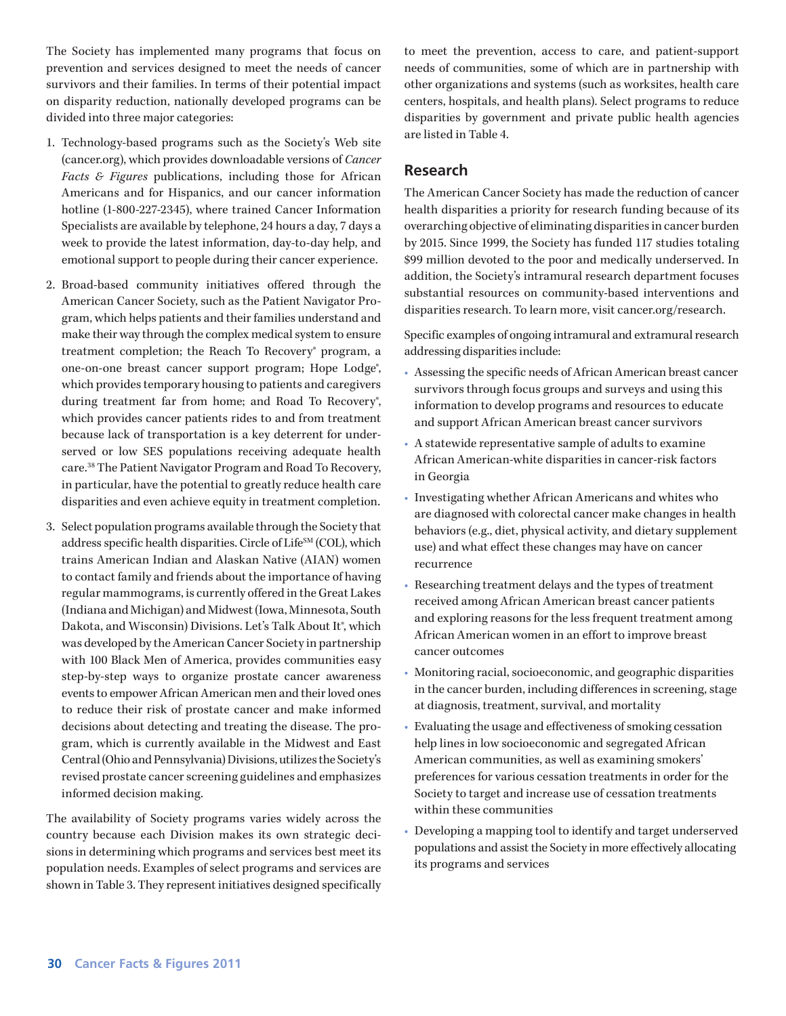The Society has implemented many programs that focus on prevention and services designed to meet the needs of cancer survivors and their families. In terms of their potential impact on disparity reduction, nationally developed programs can be divided into three major categories:

- 1. Technology-based programs such as the Society's Web site (cancer.org), which provides downloadable versions of *Cancer Facts & Figures* publications, including those for African Americans and for Hispanics, and our cancer information hotline (1-800-227-2345), where trained Cancer Information Specialists are available by telephone, 24 hours a day, 7 days a week to provide the latest information, day-to-day help, and emotional support to people during their cancer experience.
- 2. Broad-based community initiatives offered through the American Cancer Society, such as the Patient Navigator Program, which helps patients and their families understand and make their way through the complex medical system to ensure treatment completion; the Reach To Recovery® program, a one-on-one breast cancer support program; Hope Lodge<sup>®</sup>, which provides temporary housing to patients and caregivers during treatment far from home; and Road To Recovery<sup>®</sup>, which provides cancer patients rides to and from treatment because lack of transportation is a key deterrent for underserved or low SES populations receiving adequate health care.38 The Patient Navigator Program and Road To Recovery, in particular, have the potential to greatly reduce health care disparities and even achieve equity in treatment completion.
- 3. Select population programs available through the Society that address specific health disparities. Circle of Life<sup>SM</sup> (COL), which trains American Indian and Alaskan Native (AIAN) women to contact family and friends about the importance of having regular mammograms, is currently offered in the Great Lakes (Indiana and Michigan) and Midwest (Iowa, Minnesota, South Dakota, and Wisconsin) Divisions. Let's Talk About It®, which was developed by the American Cancer Society in partnership with 100 Black Men of America, provides communities easy step-by-step ways to organize prostate cancer awareness events to empower African American men and their loved ones to reduce their risk of prostate cancer and make informed decisions about detecting and treating the disease. The program, which is currently available in the Midwest and East Central (Ohio and Pennsylvania) Divisions, utilizes the Society's revised prostate cancer screening guidelines and emphasizes informed decision making.

The availability of Society programs varies widely across the country because each Division makes its own strategic decisions in determining which programs and services best meet its population needs. Examples of select programs and services are shown in Table 3. They represent initiatives designed specifically to meet the prevention, access to care, and patient-support needs of communities, some of which are in partnership with other organizations and systems (such as worksites, health care centers, hospitals, and health plans). Select programs to reduce disparities by government and private public health agencies are listed in Table 4.

#### **Research**

The American Cancer Society has made the reduction of cancer health disparities a priority for research funding because of its overarching objective of eliminating disparities in cancer burden by 2015. Since 1999, the Society has funded 117 studies totaling \$99 million devoted to the poor and medically underserved. In addition, the Society's intramural research department focuses substantial resources on community-based interventions and disparities research. To learn more, visit cancer.org/research.

Specific examples of ongoing intramural and extramural research addressing disparities include:

- Assessing the specific needs of African American breast cancer survivors through focus groups and surveys and using this information to develop programs and resources to educate and support African American breast cancer survivors
- A statewide representative sample of adults to examine African American-white disparities in cancer-risk factors in Georgia
- Investigating whether African Americans and whites who are diagnosed with colorectal cancer make changes in health behaviors (e.g., diet, physical activity, and dietary supplement use) and what effect these changes may have on cancer recurrence
- Researching treatment delays and the types of treatment received among African American breast cancer patients and exploring reasons for the less frequent treatment among African American women in an effort to improve breast cancer outcomes
- Monitoring racial, socioeconomic, and geographic disparities in the cancer burden, including differences in screening, stage at diagnosis, treatment, survival, and mortality
- Evaluating the usage and effectiveness of smoking cessation help lines in low socioeconomic and segregated African American communities, as well as examining smokers' preferences for various cessation treatments in order for the Society to target and increase use of cessation treatments within these communities
- Developing a mapping tool to identify and target underserved populations and assist the Society in more effectively allocating its programs and services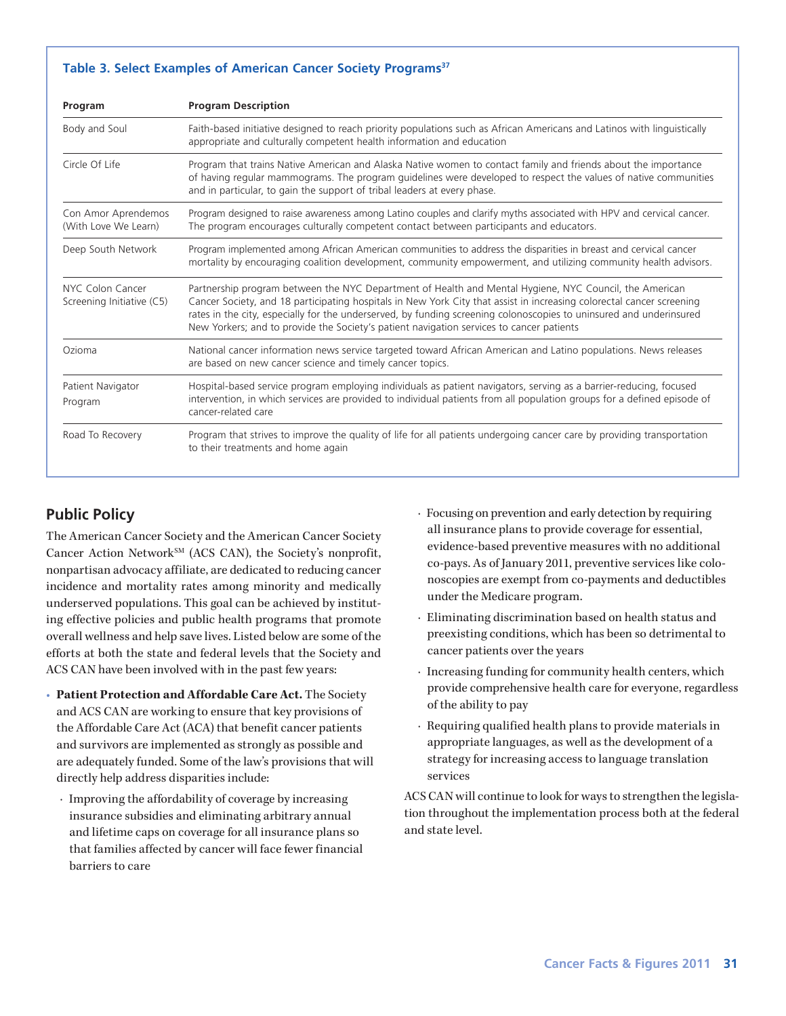#### **Table 3. Select Examples of American Cancer Society Programs<sup>37</sup>**

| Program                                       | <b>Program Description</b>                                                                                                                                                                                                                                                                                                                                                                                                                         |
|-----------------------------------------------|----------------------------------------------------------------------------------------------------------------------------------------------------------------------------------------------------------------------------------------------------------------------------------------------------------------------------------------------------------------------------------------------------------------------------------------------------|
| Body and Soul                                 | Faith-based initiative designed to reach priority populations such as African Americans and Latinos with linguistically<br>appropriate and culturally competent health information and education                                                                                                                                                                                                                                                   |
| Circle Of Life                                | Program that trains Native American and Alaska Native women to contact family and friends about the importance<br>of having regular mammograms. The program guidelines were developed to respect the values of native communities<br>and in particular, to gain the support of tribal leaders at every phase.                                                                                                                                      |
| Con Amor Aprendemos<br>(With Love We Learn)   | Program designed to raise awareness among Latino couples and clarify myths associated with HPV and cervical cancer.<br>The program encourages culturally competent contact between participants and educators.                                                                                                                                                                                                                                     |
| Deep South Network                            | Program implemented among African American communities to address the disparities in breast and cervical cancer<br>mortality by encouraging coalition development, community empowerment, and utilizing community health advisors.                                                                                                                                                                                                                 |
| NYC Colon Cancer<br>Screening Initiative (C5) | Partnership program between the NYC Department of Health and Mental Hygiene, NYC Council, the American<br>Cancer Society, and 18 participating hospitals in New York City that assist in increasing colorectal cancer screening<br>rates in the city, especially for the underserved, by funding screening colonoscopies to uninsured and underinsured<br>New Yorkers; and to provide the Society's patient navigation services to cancer patients |
| Ozioma                                        | National cancer information news service targeted toward African American and Latino populations. News releases<br>are based on new cancer science and timely cancer topics.                                                                                                                                                                                                                                                                       |
| Patient Navigator<br>Program                  | Hospital-based service program employing individuals as patient navigators, serving as a barrier-reducing, focused<br>intervention, in which services are provided to individual patients from all population groups for a defined episode of<br>cancer-related care                                                                                                                                                                               |
| Road To Recovery                              | Program that strives to improve the quality of life for all patients undergoing cancer care by providing transportation<br>to their treatments and home again                                                                                                                                                                                                                                                                                      |

# **Public Policy**

The American Cancer Society and the American Cancer Society Cancer Action Network<sup>SM</sup> (ACS CAN), the Society's nonprofit, nonpartisan advocacy affiliate, are dedicated to reducing cancer incidence and mortality rates among minority and medically underserved populations. This goal can be achieved by instituting effective policies and public health programs that promote overall wellness and help save lives. Listed below are some of the efforts at both the state and federal levels that the Society and ACS CAN have been involved with in the past few years:

- **Patient Protection and Affordable Care Act.** The Society and ACS CAN are working to ensure that key provisions of the Affordable Care Act (ACA) that benefit cancer patients and survivors are implemented as strongly as possible and are adequately funded. Some of the law's provisions that will directly help address disparities include:
	- · Improving the affordability of coverage by increasing insurance subsidies and eliminating arbitrary annual and lifetime caps on coverage for all insurance plans so that families affected by cancer will face fewer financial barriers to care
- · Focusing on prevention and early detection by requiring all insurance plans to provide coverage for essential, evidence-based preventive measures with no additional co-pays. As of January 2011, preventive services like colonoscopies are exempt from co-payments and deductibles under the Medicare program.
- · Eliminating discrimination based on health status and preexisting conditions, which has been so detrimental to cancer patients over the years
- · Increasing funding for community health centers, which provide comprehensive health care for everyone, regardless of the ability to pay
- · Requiring qualified health plans to provide materials in appropriate languages, as well as the development of a strategy for increasing access to language translation services

ACS CAN will continue to look for ways to strengthen the legislation throughout the implementation process both at the federal and state level.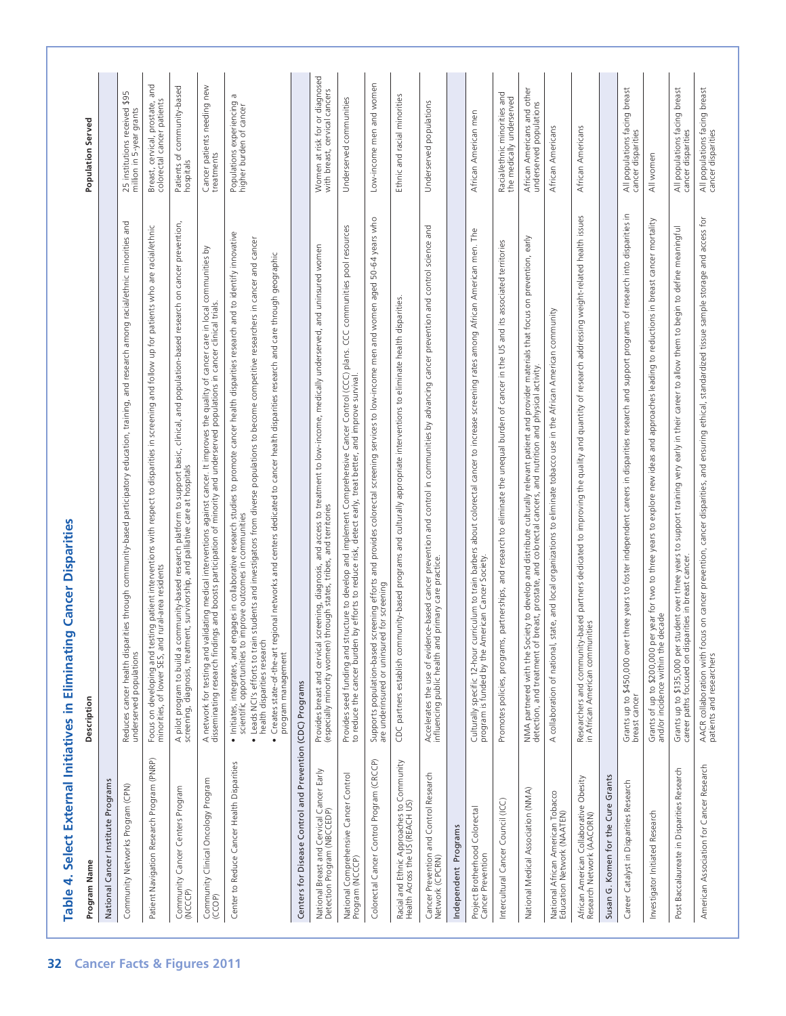| Program Name                                                                 | Description                                                                                                                                                                                                                                                                                                                                                                                                                                                                                                                                                | <b>Population Served</b>                                                 |
|------------------------------------------------------------------------------|------------------------------------------------------------------------------------------------------------------------------------------------------------------------------------------------------------------------------------------------------------------------------------------------------------------------------------------------------------------------------------------------------------------------------------------------------------------------------------------------------------------------------------------------------------|--------------------------------------------------------------------------|
| National Cancer Institute Programs                                           |                                                                                                                                                                                                                                                                                                                                                                                                                                                                                                                                                            |                                                                          |
| Community Networks Program (CPN)                                             | es through community-based participatory education, training, and research among racial/ethnic minorities and<br>Reduces cancer health disparit<br>underserved populations                                                                                                                                                                                                                                                                                                                                                                                 | 25 institutions received \$95<br>million in 5-year grants                |
| Patient Navigation Research Program (PNRP)                                   | Focus on developing and testing patient interventions with respect to disparities in screening and follow up for patients who are racial/ethnic<br>minorities, of lower SES, and rural-area residents                                                                                                                                                                                                                                                                                                                                                      | Breast, cervical, prostate, and<br>patients<br>colorectal cancer         |
| Community Cancer Centers Program<br>(NCCCP)                                  | A pilot program to build a community-based research platform to support basic, clinical, and population-based research on cancer prevention.<br>screening, diagnosis, treatment, survivorship, and palliative care at hospitals                                                                                                                                                                                                                                                                                                                            | Patients of community-based<br>hospitals                                 |
| Community Clinical Oncology Program<br>(CCOP)                                | A network for testing and validating medical interventions against cancer. It improves the quality of cancer care in local communities by<br>disseminating research findings and boosts participation of minority and underserved                                                                                                                                                                                                                                                                                                                          | Cancer patients needing new<br>treatments                                |
| Center to Reduce Cancer Health Disparities                                   | • Initiates, integrates, and engages in collaborative research studies to promote cancer health disparities research and to identify innovative<br>scientific opportunities to improve outcomes in communities<br>• Leads NCI's efforts to train students and investigators from diverse populations to become competitive researchers in cancer and cancer<br>onal networks and centers dedicated to cancer health disparities research and care through geographic<br>Creates state-of-the-art regi<br>health disparities research<br>program management | G<br>Populations experiencing<br>higher burden of cancer                 |
| and<br>Control<br>Centers for Disease                                        | Prevention (CDC) Programs                                                                                                                                                                                                                                                                                                                                                                                                                                                                                                                                  |                                                                          |
| National Breast and Cervical Cancer Early<br>Detection Program (NBCCEDP)     | diagnosis, and access to treatment to low-income, medically underserved, and uninsured women<br>and territories<br>tribes,<br>Provides breast and cervical screening, diag<br>(especially minority women) through states,                                                                                                                                                                                                                                                                                                                                  | Women at risk for or diagnosed<br>cancers<br>cervical<br>breast,<br>with |
| National Comprehensive Cancer Control<br>Program (NCCCP)                     | CCC communities pool resources<br>Provides seed funding and structure to develop and implement Comprehensive Cancer Control (CCC) plans.<br>to reduce the cancer burden by efforts to reduce risk, detect early, treat better, and improve survival.                                                                                                                                                                                                                                                                                                       | Underserved communities                                                  |
| Colorectal Cancer Control Program (CRCCP)                                    | Supports population-based screening efforts and provides colorectal screening services to low-income men and women aged 50-64 years who<br>are underinsured or uninsured for screening                                                                                                                                                                                                                                                                                                                                                                     | Low-income men and women                                                 |
| Racial and Ethnic Approaches to Community<br>Health Across the US (REACH US) | CDC partners establish community-based programs and culturally appropriate interventions to eliminate health disparities                                                                                                                                                                                                                                                                                                                                                                                                                                   | Ethnic and racial minorities                                             |
| Cancer Prevention and Control Research<br>Network (CPCRN)                    | and<br>science<br>prevention and control<br>cancer prevention and control in communities by advancing cancer<br>Accelerates the use of evidence-based cancer preve<br>influencing public health and primary care practice                                                                                                                                                                                                                                                                                                                                  | populations<br>Underserved                                               |
| Independent Programs                                                         |                                                                                                                                                                                                                                                                                                                                                                                                                                                                                                                                                            |                                                                          |
| Project Brotherhood Colorectal<br>Cancer Prevention                          | Culturally specific 12-hour curriculum to train barbers about colorectal cancer to increase screening rates among African American men. The<br>program is funded by the American Cancer Society.                                                                                                                                                                                                                                                                                                                                                           | African American men                                                     |
| Intercultural Cancer Council (ICC)                                           | Promotes policies, programs, partnerships, and research to eliminate the unequal burden of cancer in the US and its associated territories                                                                                                                                                                                                                                                                                                                                                                                                                 | and<br>the medically underserved<br>Racial/ethnic minorities             |
| National Medical Association (NMA)                                           | NMA partnered with the Society to develop and distribute culturally relevant patient and provider materials that focus on prevention, early<br>detection, and treatment of breast, prostate, and colorectal cancers, and nutritio                                                                                                                                                                                                                                                                                                                          | African Americans and other<br>underserved populations                   |
| National African American Tobacco<br>Education Network (NAATEN)              | collaboration of national, state, and local organizations to eliminate tobacco use in the African American community<br>$\prec$                                                                                                                                                                                                                                                                                                                                                                                                                            | African Americans                                                        |
| African American Collaborative Obesity<br>Research Network (AACORN)          | partners dedicated to improving the quality and quantity of research addressing weight-related health issues<br>Researchers and community-based<br>in African American communities                                                                                                                                                                                                                                                                                                                                                                         | African Americans                                                        |
| Susan G. Komen for the Cure Grants                                           |                                                                                                                                                                                                                                                                                                                                                                                                                                                                                                                                                            |                                                                          |
| Career Catalyst in Disparities Research                                      | Grants up to \$450,000 over three years to foster independent careers in disparities research and support programs of research into disparities in<br>breast cancer                                                                                                                                                                                                                                                                                                                                                                                        | All populations facing breast<br>cancer disparities                      |
| Investigator Initiated Research                                              | year for two to three years to explore new ideas and approaches leading to reductions in breast cancer mortality<br>Grants of up to \$200,000 per year 1<br>and/or incidence within the decade                                                                                                                                                                                                                                                                                                                                                             | All women                                                                |
| Post Baccalaureate in Disparities Research                                   | dent over three years to support training very early in their career to allow them to begin to define meaningful<br>Grants up to \$135,000 per student over three years<br>career paths focused on disparities in breast cancer.                                                                                                                                                                                                                                                                                                                           | All populations facing breast<br>cancer disparities                      |
| American Association for Cancer Research                                     | on cancer prevention, cancer disparities, and ensuring ethical, standardized tissue sample storage and access for<br>AACR collaboration with focus<br>patients and researchers                                                                                                                                                                                                                                                                                                                                                                             | All populations facing breast<br>cancer disparities                      |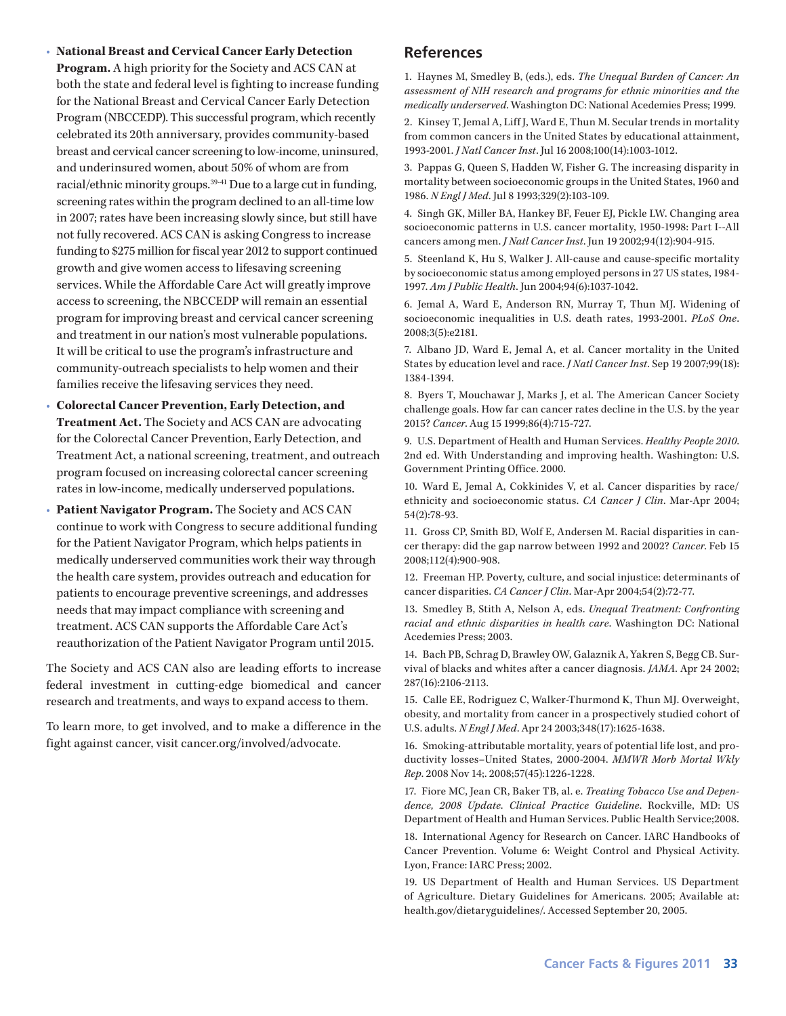- **National Breast and Cervical Cancer Early Detection Program.** A high priority for the Society and ACS CAN at both the state and federal level is fighting to increase funding for the National Breast and Cervical Cancer Early Detection Program (NBCCEDP). This successful program, which recently celebrated its 20th anniversary, provides community-based breast and cervical cancer screening to low-income, uninsured, and underinsured women, about 50% of whom are from racial/ethnic minority groups.<sup>39-41</sup> Due to a large cut in funding, screening rates within the program declined to an all-time low in 2007; rates have been increasing slowly since, but still have not fully recovered. ACS CAN is asking Congress to increase funding to \$275 million for fiscal year 2012 to support continued growth and give women access to lifesaving screening services. While the Affordable Care Act will greatly improve access to screening, the NBCCEDP will remain an essential program for improving breast and cervical cancer screening and treatment in our nation's most vulnerable populations. It will be critical to use the program's infrastructure and community-outreach specialists to help women and their families receive the lifesaving services they need.
- **Colorectal Cancer Prevention, Early Detection, and Treatment Act.** The Society and ACS CAN are advocating for the Colorectal Cancer Prevention, Early Detection, and Treatment Act, a national screening, treatment, and outreach program focused on increasing colorectal cancer screening rates in low-income, medically underserved populations.
- **Patient Navigator Program.** The Society and ACS CAN continue to work with Congress to secure additional funding for the Patient Navigator Program, which helps patients in medically underserved communities work their way through the health care system, provides outreach and education for patients to encourage preventive screenings, and addresses needs that may impact compliance with screening and treatment. ACS CAN supports the Affordable Care Act's reauthorization of the Patient Navigator Program until 2015.

The Society and ACS CAN also are leading efforts to increase federal investment in cutting-edge biomedical and cancer research and treatments, and ways to expand access to them.

To learn more, to get involved, and to make a difference in the fight against cancer, visit cancer.org/involved/advocate.

## **References**

1. Haynes M, Smedley B, (eds.), eds. *The Unequal Burden of Cancer: An assessment of NIH research and programs for ethnic minorities and the medically underserved*. Washington DC: National Acedemies Press; 1999.

2. Kinsey T, Jemal A, Liff J, Ward E, Thun M. Secular trends in mortality from common cancers in the United States by educational attainment, 1993-2001. *J Natl Cancer Inst*. Jul 16 2008;100(14):1003-1012.

3. Pappas G, Queen S, Hadden W, Fisher G. The increasing disparity in mortality between socioeconomic groups in the United States, 1960 and 1986. *N Engl J Med*. Jul 8 1993;329(2):103-109.

4. Singh GK, Miller BA, Hankey BF, Feuer EJ, Pickle LW. Changing area socioeconomic patterns in U.S. cancer mortality, 1950-1998: Part I--All cancers among men. *J Natl Cancer Inst*. Jun 19 2002;94(12):904-915.

5. Steenland K, Hu S, Walker J. All-cause and cause-specific mortality by socioeconomic status among employed persons in 27 US states, 1984-1997. *Am J Public Health*. Jun 2004;94(6):1037-1042.

6. Jemal A, Ward E, Anderson RN, Murray T, Thun MJ. Widening of socioeconomic inequalities in U.S. death rates, 1993-2001. *PLoS One*. 2008;3(5):e2181.

7. Albano JD, Ward E, Jemal A, et al. Cancer mortality in the United States by education level and race. *J Natl Cancer Inst*. Sep 19 2007;99(18): 1384-1394.

8. Byers T, Mouchawar J, Marks J, et al. The American Cancer Society challenge goals. How far can cancer rates decline in the U.S. by the year 2015? *Cancer*. Aug 15 1999;86(4):715-727.

9. U.S. Department of Health and Human Services. *Healthy People 2010*. 2nd ed. With Understanding and improving health. Washington: U.S. Government Printing Office. 2000.

10. Ward E, Jemal A, Cokkinides V, et al. Cancer disparities by race/ ethnicity and socioeconomic status. *CA Cancer J Clin*. Mar-Apr 2004; 54(2):78-93.

11. Gross CP, Smith BD, Wolf E, Andersen M. Racial disparities in cancer therapy: did the gap narrow between 1992 and 2002? *Cancer*. Feb 15 2008;112(4):900-908.

12. Freeman HP. Poverty, culture, and social injustice: determinants of cancer disparities. *CA Cancer J Clin*. Mar-Apr 2004;54(2):72-77.

13. Smedley B, Stith A, Nelson A, eds. *Unequal Treatment: Confronting racial and ethnic disparities in health care*. Washington DC: National Acedemies Press; 2003.

14. Bach PB, Schrag D, Brawley OW, Galaznik A, Yakren S, Begg CB. Survival of blacks and whites after a cancer diagnosis. *JAMA*. Apr 24 2002; 287(16):2106-2113.

15. Calle EE, Rodriguez C, Walker-Thurmond K, Thun MJ. Overweight, obesity, and mortality from cancer in a prospectively studied cohort of U.S. adults. *N Engl J Med*. Apr 24 2003;348(17):1625-1638.

16. Smoking-attributable mortality, years of potential life lost, and productivity losses–United States, 2000-2004. *MMWR Morb Mortal Wkly Rep*. 2008 Nov 14;. 2008;57(45):1226-1228.

17. Fiore MC, Jean CR, Baker TB, al. e. *Treating Tobacco Use and Dependence, 2008 Update. Clinical Practice Guideline*. Rockville, MD: US Department of Health and Human Services. Public Health Service;2008.

18. International Agency for Research on Cancer. IARC Handbooks of Cancer Prevention. Volume 6: Weight Control and Physical Activity. Lyon, France: IARC Press; 2002.

19. US Department of Health and Human Services. US Department of Agriculture. Dietary Guidelines for Americans. 2005; Available at: health.gov/dietaryguidelines/. Accessed September 20, 2005.